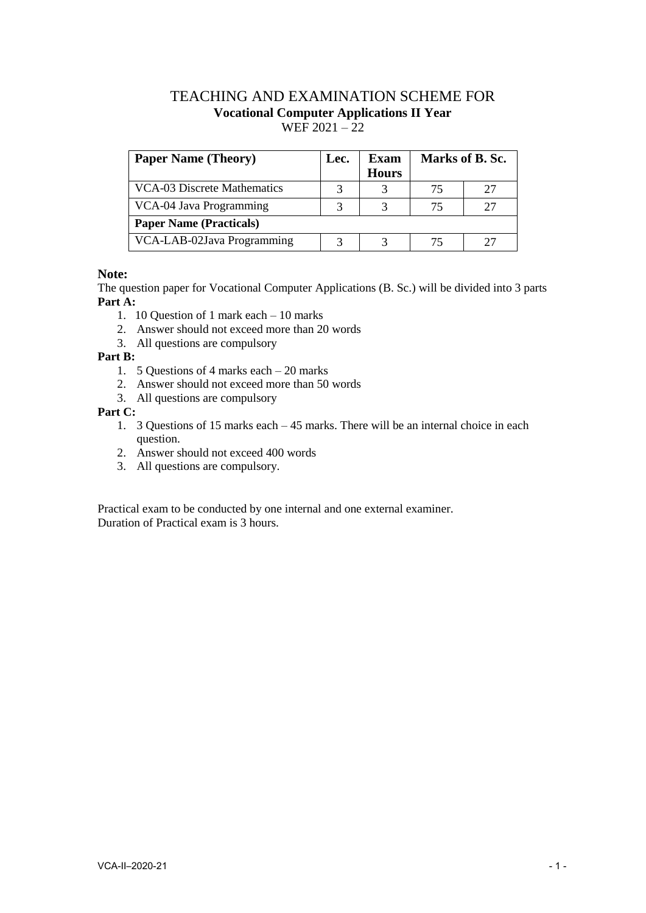# TEACHING AND EXAMINATION SCHEME FOR **Vocational Computer Applications II Year**  $WEF 2021 - 22$

| <b>Paper Name (Theory)</b>     | Lec. | Exam         | Marks of B. Sc. |    |
|--------------------------------|------|--------------|-----------------|----|
|                                |      | <b>Hours</b> |                 |    |
| VCA-03 Discrete Mathematics    | 3    |              | 75              | 27 |
| VCA-04 Java Programming        |      |              | 75              |    |
| <b>Paper Name (Practicals)</b> |      |              |                 |    |
| VCA-LAB-02Java Programming     | 3    |              | 75              |    |

# **Note:**

The question paper for Vocational Computer Applications (B. Sc.) will be divided into 3 parts **Part A:**

- 1. 10 Question of 1 mark each 10 marks
- 2. Answer should not exceed more than 20 words
- 3. All questions are compulsory

#### **Part B:**

- 1. 5 Questions of 4 marks each 20 marks
- 2. Answer should not exceed more than 50 words
- 3. All questions are compulsory

# **Part C:**

- 1. 3 Questions of 15 marks each 45 marks. There will be an internal choice in each question.
- 2. Answer should not exceed 400 words
- 3. All questions are compulsory.

Practical exam to be conducted by one internal and one external examiner. Duration of Practical exam is 3 hours.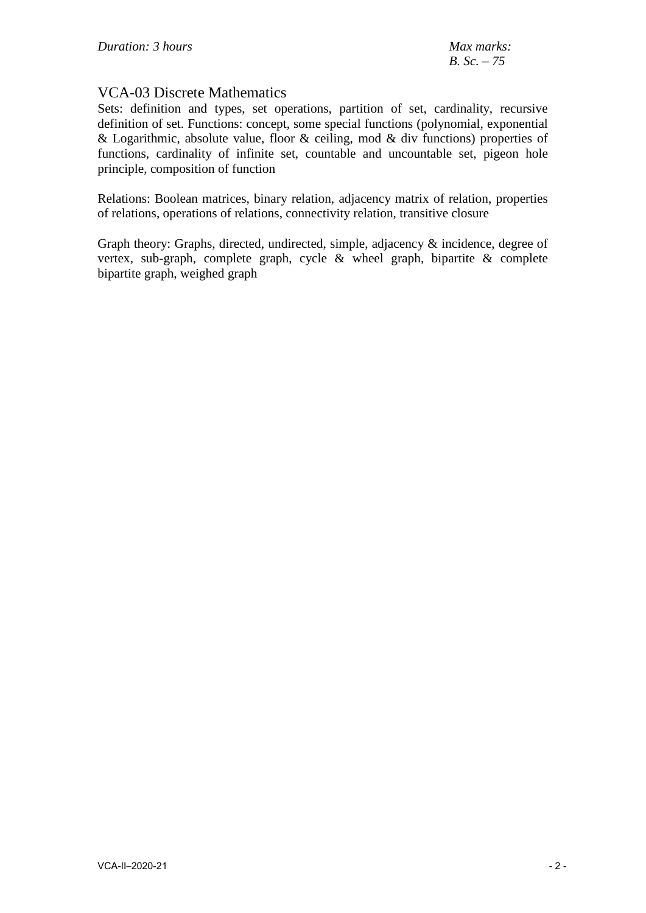# VCA-03 Discrete Mathematics

Sets: definition and types, set operations, partition of set, cardinality, recursive definition of set. Functions: concept, some special functions (polynomial, exponential & Logarithmic, absolute value, floor & ceiling, mod & div functions) properties of functions, cardinality of infinite set, countable and uncountable set, pigeon hole principle, composition of function

Relations: Boolean matrices, binary relation, adjacency matrix of relation, properties of relations, operations of relations, connectivity relation, transitive closure

Graph theory: Graphs, directed, undirected, simple, adjacency & incidence, degree of vertex, sub-graph, complete graph, cycle & wheel graph, bipartite & complete bipartite graph, weighed graph